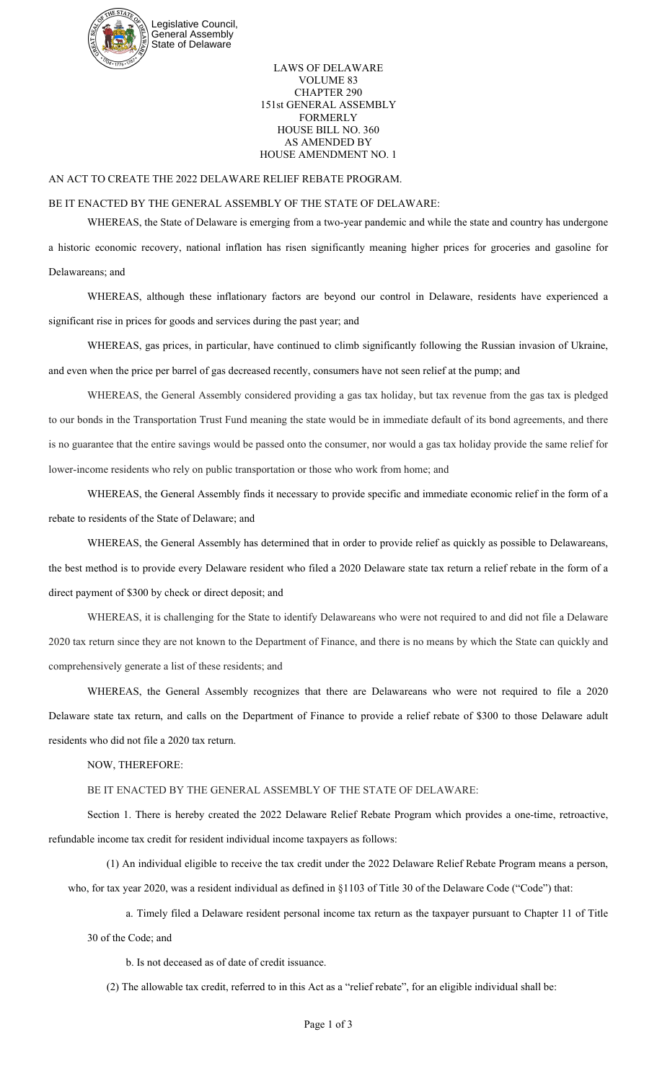

LAWS OF DELAWARE VOLUME 83 CHAPTER 290 151st GENERAL ASSEMBLY FORMERLY HOUSE BILL NO. 360 AS AMENDED BY HOUSE AMENDMENT NO. 1

## AN ACT TO CREATE THE 2022 DELAWARE RELIEF REBATE PROGRAM.

## BE IT ENACTED BY THE GENERAL ASSEMBLY OF THE STATE OF DELAWARE:

WHEREAS, the State of Delaware is emerging from a two-year pandemic and while the state and country has undergone a historic economic recovery, national inflation has risen significantly meaning higher prices for groceries and gasoline for Delawareans; and

WHEREAS, although these inflationary factors are beyond our control in Delaware, residents have experienced a significant rise in prices for goods and services during the past year; and

WHEREAS, gas prices, in particular, have continued to climb significantly following the Russian invasion of Ukraine, and even when the price per barrel of gas decreased recently, consumers have not seen relief at the pump; and

WHEREAS, the General Assembly considered providing a gas tax holiday, but tax revenue from the gas tax is pledged to our bonds in the Transportation Trust Fund meaning the state would be in immediate default of its bond agreements, and there is no guarantee that the entire savings would be passed onto the consumer, nor would a gas tax holiday provide the same relief for lower-income residents who rely on public transportation or those who work from home; and

WHEREAS, the General Assembly finds it necessary to provide specific and immediate economic relief in the form of a rebate to residents of the State of Delaware; and

WHEREAS, the General Assembly has determined that in order to provide relief as quickly as possible to Delawareans, the best method is to provide every Delaware resident who filed a 2020 Delaware state tax return a relief rebate in the form of a direct payment of \$300 by check or direct deposit; and

WHEREAS, it is challenging for the State to identify Delawareans who were not required to and did not file a Delaware 2020 tax return since they are not known to the Department of Finance, and there is no means by which the State can quickly and comprehensively generate a list of these residents; and

WHEREAS, the General Assembly recognizes that there are Delawareans who were not required to file a 2020 Delaware state tax return, and calls on the Department of Finance to provide a relief rebate of \$300 to those Delaware adult residents who did not file a 2020 tax return.

NOW, THEREFORE:

BE IT ENACTED BY THE GENERAL ASSEMBLY OF THE STATE OF DELAWARE:

Section 1. There is hereby created the 2022 Delaware Relief Rebate Program which provides a one-time, retroactive, refundable income tax credit for resident individual income taxpayers as follows:

(1) An individual eligible to receive the tax credit under the 2022 Delaware Relief Rebate Program means a person, who, for tax year 2020, was a resident individual as defined in §1103 of Title 30 of the Delaware Code ("Code") that:

a. Timely filed a Delaware resident personal income tax return as the taxpayer pursuant to Chapter 11 of Title 30 of the Code; and

b. Is not deceased as of date of credit issuance.

(2) The allowable tax credit, referred to in this Act as a "relief rebate", for an eligible individual shall be: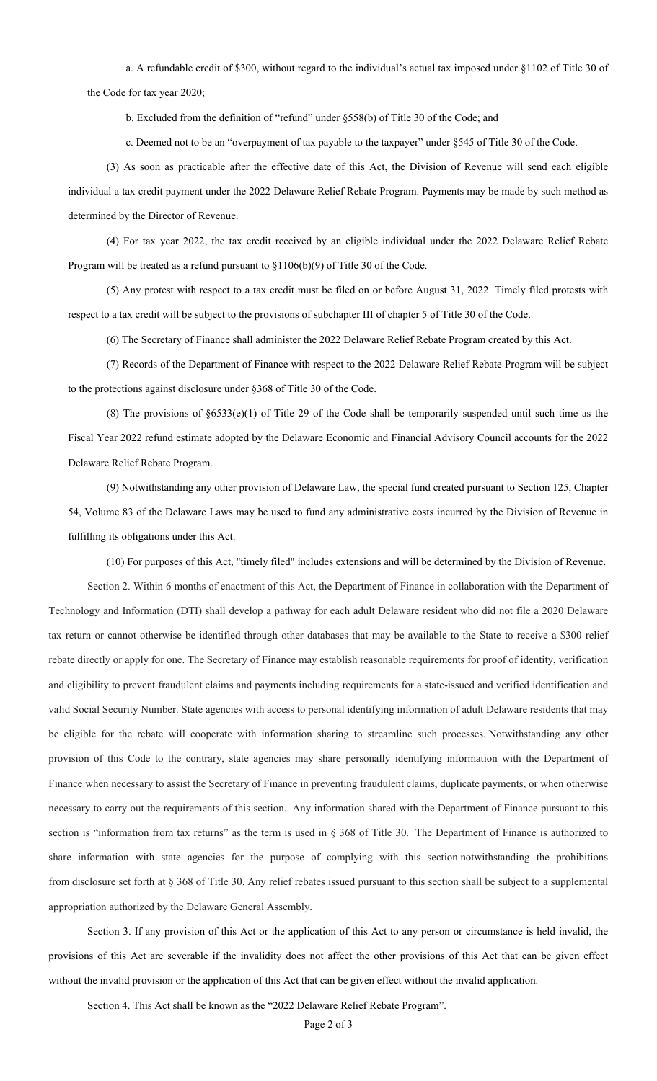a. A refundable credit of \$300, without regard to the individual's actual tax imposed under §1102 of Title 30 of the Code for tax year 2020;

b. Excluded from the definition of "refund" under §558(b) of Title 30 of the Code; and

c. Deemed not to be an "overpayment of tax payable to the taxpayer" under §545 of Title 30 of the Code.

(3) As soon as practicable after the effective date of this Act, the Division of Revenue will send each eligible individual a tax credit payment under the 2022 Delaware Relief Rebate Program. Payments may be made by such method as determined by the Director of Revenue.

(4) For tax year 2022, the tax credit received by an eligible individual under the 2022 Delaware Relief Rebate Program will be treated as a refund pursuant to §1106(b)(9) of Title 30 of the Code.

(5) Any protest with respect to a tax credit must be filed on or before August 31, 2022. Timely filed protests with respect to a tax credit will be subject to the provisions of subchapter III of chapter 5 of Title 30 of the Code.

(6) The Secretary of Finance shall administer the 2022 Delaware Relief Rebate Program created by this Act.

(7) Records of the Department of Finance with respect to the 2022 Delaware Relief Rebate Program will be subject to the protections against disclosure under §368 of Title 30 of the Code.

(8) The provisions of  $\S6533(e)(1)$  of Title 29 of the Code shall be temporarily suspended until such time as the Fiscal Year 2022 refund estimate adopted by the Delaware Economic and Financial Advisory Council accounts for the 2022 Delaware Relief Rebate Program.

(9) Notwithstanding any other provision of Delaware Law, the special fund created pursuant to Section 125, Chapter 54, Volume 83 of the Delaware Laws may be used to fund any administrative costs incurred by the Division of Revenue in fulfilling its obligations under this Act.

(10) For purposes of this Act, "timely filed" includes extensions and will be determined by the Division of Revenue.

Section 2. Within 6 months of enactment of this Act, the Department of Finance in collaboration with the Department of Technology and Information (DTI) shall develop a pathway for each adult Delaware resident who did not file a 2020 Delaware tax return or cannot otherwise be identified through other databases that may be available to the State to receive a \$300 relief rebate directly or apply for one. The Secretary of Finance may establish reasonable requirements for proof of identity, verification and eligibility to prevent fraudulent claims and payments including requirements for a state-issued and verified identification and valid Social Security Number. State agencies with access to personal identifying information of adult Delaware residents that may be eligible for the rebate will cooperate with information sharing to streamline such processes. Notwithstanding any other provision of this Code to the contrary, state agencies may share personally identifying information with the Department of Finance when necessary to assist the Secretary of Finance in preventing fraudulent claims, duplicate payments, or when otherwise necessary to carry out the requirements of this section. Any information shared with the Department of Finance pursuant to this section is "information from tax returns" as the term is used in § 368 of Title 30. The Department of Finance is authorized to share information with state agencies for the purpose of complying with this section notwithstanding the prohibitions from disclosure set forth at § 368 of Title 30. Any relief rebates issued pursuant to this section shall be subject to a supplemental appropriation authorized by the Delaware General Assembly.

Section 3. If any provision of this Act or the application of this Act to any person or circumstance is held invalid, the provisions of this Act are severable if the invalidity does not affect the other provisions of this Act that can be given effect without the invalid provision or the application of this Act that can be given effect without the invalid application.

Section 4. This Act shall be known as the "2022 Delaware Relief Rebate Program".

Page 2 of 3